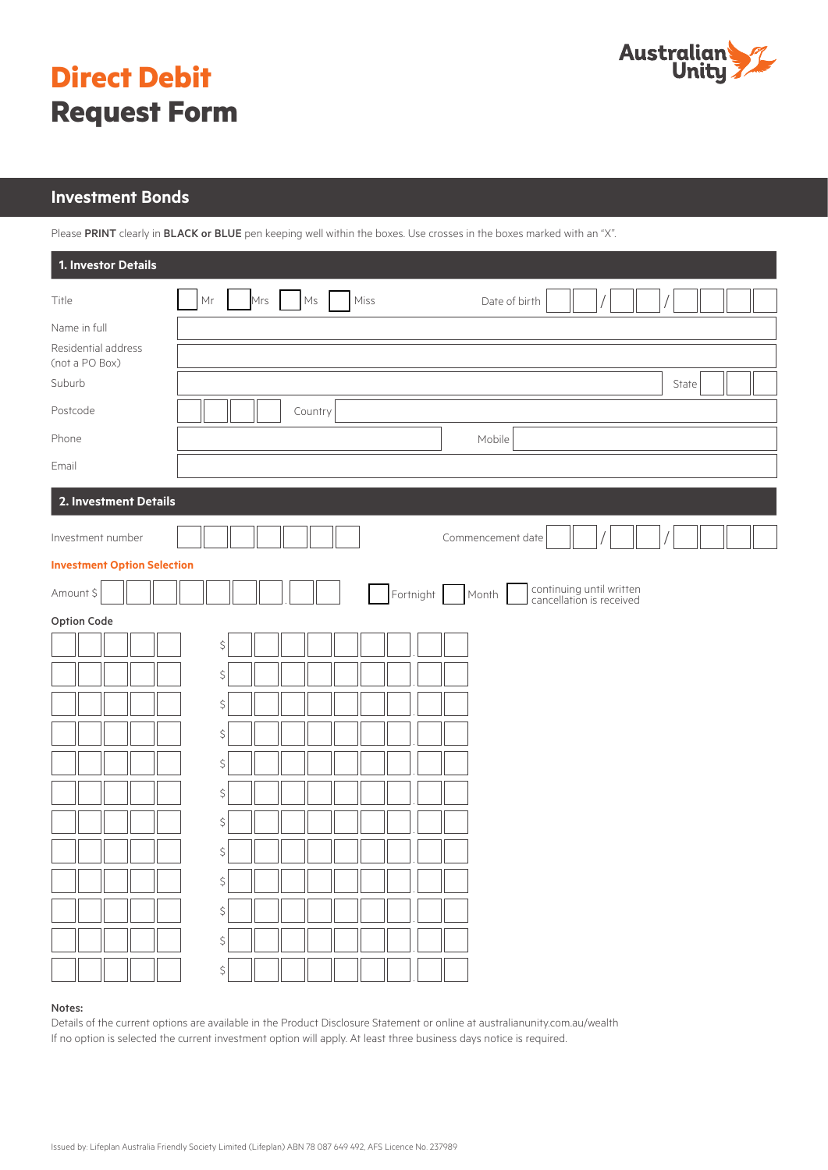

# **Direct Debit Request Form**

# **Investment Bonds**

Please PRINT clearly in BLACK or BLUE pen keeping well within the boxes. Use crosses in the boxes marked with an "X".

| 1. Investor Details                                   |                                                                         |  |  |  |
|-------------------------------------------------------|-------------------------------------------------------------------------|--|--|--|
| Title                                                 | Mrs Ms<br>Mr<br>Miss<br>Date of birth                                   |  |  |  |
| Name in full<br>Residential address<br>(not a PO Box) |                                                                         |  |  |  |
| Suburb                                                | State                                                                   |  |  |  |
| Postcode                                              | Country                                                                 |  |  |  |
| Phone                                                 | Mobile                                                                  |  |  |  |
| Email                                                 |                                                                         |  |  |  |
| 2. Investment Details                                 |                                                                         |  |  |  |
| Investment number                                     | Commencement date                                                       |  |  |  |
| <b>Investment Option Selection</b>                    |                                                                         |  |  |  |
| Amount \$                                             | continuing until written<br>cancellation is received<br>Fortnight Month |  |  |  |
| Option Code                                           |                                                                         |  |  |  |
|                                                       | $\boldsymbol{\zeta}$                                                    |  |  |  |
|                                                       | $\boldsymbol{\zeta}$                                                    |  |  |  |
|                                                       | $\boldsymbol{\zeta}$                                                    |  |  |  |
|                                                       | $\boldsymbol{\zeta}$                                                    |  |  |  |
|                                                       | $\boldsymbol{\zeta}$                                                    |  |  |  |
|                                                       | $\boldsymbol{\zeta}$                                                    |  |  |  |
|                                                       | $\boldsymbol{\zeta}$                                                    |  |  |  |
|                                                       | $\boldsymbol{\zeta}$                                                    |  |  |  |
| ٦ſ                                                    | \$                                                                      |  |  |  |
|                                                       | \$                                                                      |  |  |  |
|                                                       | \$                                                                      |  |  |  |
|                                                       | \$                                                                      |  |  |  |

### Notes:

Details of the current options are available in the Product Disclosure Statement or online at australianunity.com.au/wealth If no option is selected the current investment option will apply. At least three business days notice is required.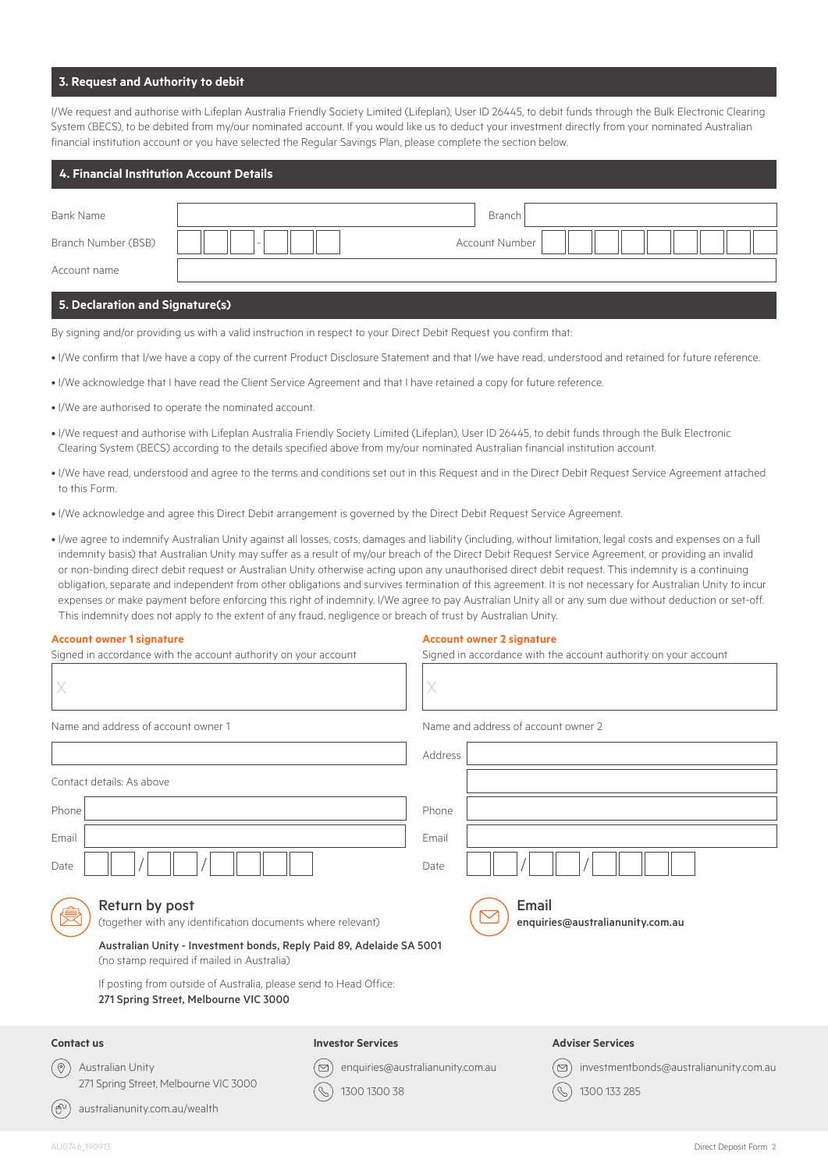# **3. Request and Authority to debit**

I/We request and authorise with Lifeplan Australia Friendly Society Limited (Lifeplan), User ID 26445, to debit funds through the Bulk Electronic Clearing System (BECS), to be debited from my/our nominated account. If you would like us to deduct your investment directly from your nominated Australian financial institution account or you have selected the Regular Savings Plan, please complete the section below.

| 4. Financial Institution Account Details |                          |                       |
|------------------------------------------|--------------------------|-----------------------|
| Bank Name                                |                          | Branch                |
| Branch Number (BSB)                      | $\overline{\phantom{a}}$ | <b>Account Number</b> |
| Account name                             |                          |                       |
|                                          |                          |                       |

# **5. Declaration and Signature(s)**

By signing and/or providing us with a valid instruction in respect to your Direct Debit Request you confirm that:

- I/We confirm that I/we have a copy of the current Product Disclosure Statement and that I/we have read, understood and retained for future reference.
- I/We acknowledge that I have read the Client Service Agreement and that I have retained a copy for future reference.
- I/We are authorised to operate the nominated account.
- I/We request and authorise with Lifeplan Australia Friendly Society Limited (Lifeplan), User ID 26445, to debit funds through the Bulk Electronic Clearing System (BECS) according to the details specified above from my/our nominated Australian financial institution account.
- I/We have read, understood and agree to the terms and conditions set out in this Request and in the Direct Debit Request Service Agreement attached to this Form.
- I/We acknowledge and agree this Direct Debit arrangement is governed by the Direct Debit Request Service Agreement.
- I/we agree to indemnify Australian Unity against all losses, costs, damages and liability (including, without limitation, legal costs and expenses on a full indemnity basis) that Australian Unity may suffer as a result of my/our breach of the Direct Debit Request Service Agreement, or providing an invalid or non-binding direct debit request or Australian Unity otherwise acting upon any unauthorised direct debit request. This indemnity is a continuing obligation, separate and independent from other obligations and survives termination of this agreement. It is not necessary for Australian Unity to incur expenses or make payment before enforcing this right of indemnity. I/We agree to pay Australian Unity all or any sum due without deduction or set-off. This indemnity does not apply to the extent of any fraud, negligence or breach of trust by Australian Unity.

### **Account owner 1 signature**

## **Account owner 2 signature**

| Signed in accordance with the account authority on your account                                                    |                                                                      | Signed in accordance with the account authority on your account                  |
|--------------------------------------------------------------------------------------------------------------------|----------------------------------------------------------------------|----------------------------------------------------------------------------------|
| X                                                                                                                  | X                                                                    |                                                                                  |
| Name and address of account owner 1                                                                                |                                                                      | Name and address of account owner 2                                              |
|                                                                                                                    | Address                                                              |                                                                                  |
| Contact details: As above                                                                                          |                                                                      |                                                                                  |
| Phone                                                                                                              | Phone                                                                |                                                                                  |
| Email                                                                                                              | Email                                                                |                                                                                  |
| Date                                                                                                               | Date                                                                 |                                                                                  |
| Return by post<br>(together with any identification documents where relevant)                                      |                                                                      | Email<br>enquiries@australianunity.com.au                                        |
| Australian Unity - Investment bonds, Reply Paid 89, Adelaide SA 5001<br>(no stamp required if mailed in Australia) |                                                                      |                                                                                  |
| If posting from outside of Australia, please send to Head Office:<br>271 Spring Street, Melbourne VIC 3000         |                                                                      |                                                                                  |
| <b>Contact us</b>                                                                                                  | <b>Investor Services</b>                                             | <b>Adviser Services</b>                                                          |
| $(\circledcirc$<br>Australian Unity<br>271 Spring Street, Melbourne VIC 3000                                       | enquiries@australianunity.com.au<br>$\triangleright$<br>1300 1300 38 | investmentbonds@australianunity.com.au<br>$\overline{\boxtimes}$<br>1300 133 285 |
| (சி<br>australianunity.com.au/wealth                                                                               |                                                                      |                                                                                  |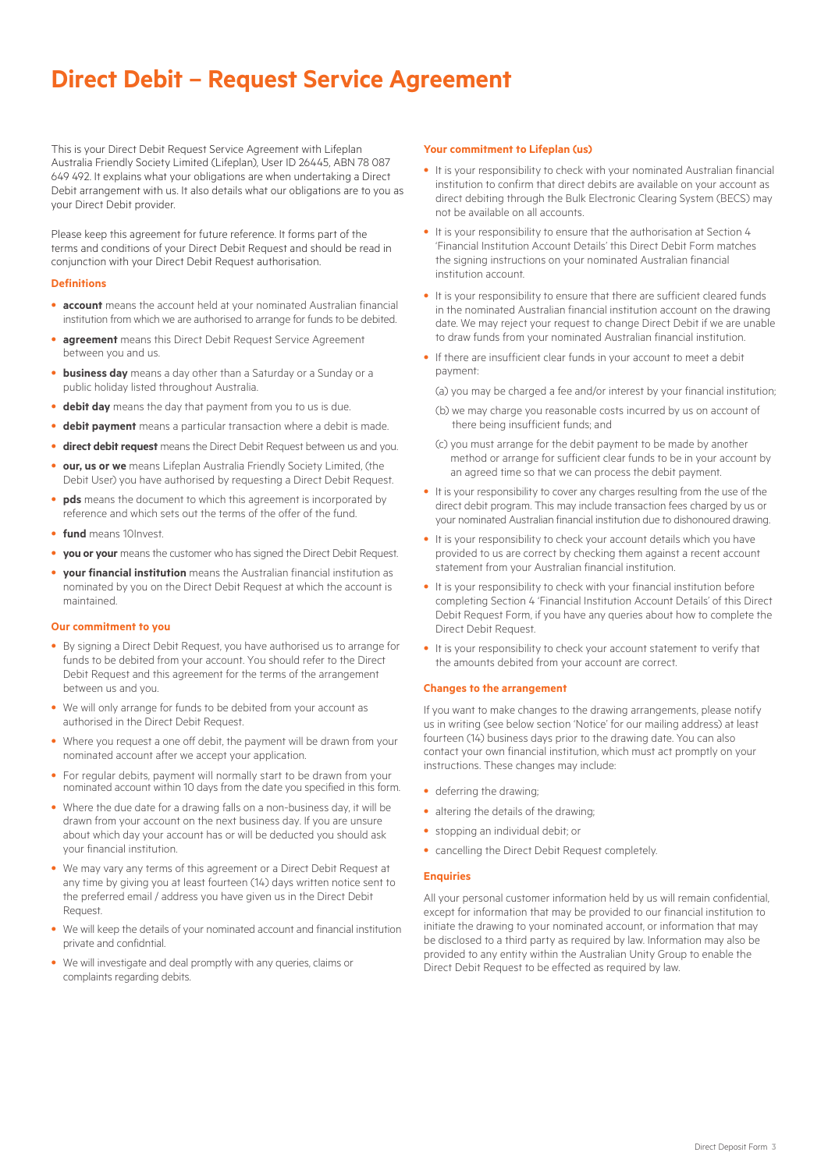# **Direct Debit - Request Service Agreement**

This is your Direct Debit Request Service Agreement with Lifeplan Australia Friendly Society Limited (Lifeplan), User ID 26445, ABN 78 087 649 492. It explains what your obligations are when undertaking a Direct Debit arrangement with us. It also details what our obligations are to you as your Direct Debit provider.

Please keep this agreement for future reference. It forms part of the terms and conditions of your Direct Debit Request and should be read in conjunction with your Direct Debit Request authorisation.

#### **Definitions**

- **account** means the account held at your nominated Australian financial institution from which we are authorised to arrange for funds to be debited.
- **agreement** means this Direct Debit Request Service Agreement between you and us.
- **business day** means a day other than a Saturday or a Sunday or a public holiday listed throughout Australia.
- **debit day** means the day that payment from you to us is due.
- **debit payment** means a particular transaction where a debit is made.
- **direct debit request** means the Direct Debit Request between us and you.
- **our, us or we** means Lifeplan Australia Friendly Society Limited, (the Debit User) you have authorised by requesting a Direct Debit Request.
- **pds** means the document to which this agreement is incorporated by reference and which sets out the terms of the offer of the fund.
- **fund** means 10Invest.
- **you or your** means the customer who has signed the Direct Debit Request.
- **your financial institution** means the Australian financial institution as nominated by you on the Direct Debit Request at which the account is maintained.

#### **Our commitment to you**

- By signing a Direct Debit Request, you have authorised us to arrange for funds to be debited from your account. You should refer to the Direct Debit Request and this agreement for the terms of the arrangement between us and you.
- We will only arrange for funds to be debited from your account as authorised in the Direct Debit Request.
- Where you request a one off debit, the payment will be drawn from your nominated account after we accept your application.
- For regular debits, payment will normally start to be drawn from your nominated account within 10 days from the date you specified in this form.
- Where the due date for a drawing falls on a non-business day, it will be drawn from your account on the next business day. If you are unsure about which day your account has or will be deducted you should ask your financial institution.
- We may vary any terms of this agreement or a Direct Debit Request at any time by giving you at least fourteen (14) days written notice sent to the preferred email / address you have given us in the Direct Debit Request.
- We will keep the details of your nominated account and financial institution private and confidntial.
- We will investigate and deal promptly with any queries, claims or complaints regarding debits.

#### **Your commitment to Lifeplan (us)**

- It is your responsibility to check with your nominated Australian financial institution to confirm that direct debits are available on your account as direct debiting through the Bulk Electronic Clearing System (BECS) may not be available on all accounts.
- It is your responsibility to ensure that the authorisation at Section 4 'Financial Institution Account Details' this Direct Debit Form matches the signing instructions on your nominated Australian financial institution account.
- It is your responsibility to ensure that there are sufficient cleared funds in the nominated Australian financial institution account on the drawing date. We may reject your request to change Direct Debit if we are unable to draw funds from your nominated Australian financial institution.
- If there are insufficient clear funds in your account to meet a debit payment:
	- (a) you may be charged a fee and/or interest by your financial institution;
	- (b) we may charge you reasonable costs incurred by us on account of there being insufficient funds; and
	- (c) you must arrange for the debit payment to be made by another method or arrange for sufficient clear funds to be in your account by an agreed time so that we can process the debit payment.
- It is your responsibility to cover any charges resulting from the use of the direct debit program. This may include transaction fees charged by us or your nominated Australian financial institution due to dishonoured drawing.
- It is your responsibility to check your account details which you have provided to us are correct by checking them against a recent account statement from your Australian financial institution.
- It is your responsibility to check with your financial institution before completing Section 4 'Financial Institution Account Details' of this Direct Debit Request Form, if you have any queries about how to complete the Direct Debit Request.
- It is your responsibility to check your account statement to verify that the amounts debited from your account are correct.

#### **Changes to the arrangement**

If you want to make changes to the drawing arrangements, please notify us in writing (see below section 'Notice' for our mailing address) at least fourteen (14) business days prior to the drawing date. You can also contact your own financial institution, which must act promptly on your instructions. These changes may include:

- deferring the drawing:
- altering the details of the drawing;
- stopping an individual debit; or
- cancelling the Direct Debit Request completely.

#### **Enquiries**

All your personal customer information held by us will remain confidential, except for information that may be provided to our financial institution to initiate the drawing to your nominated account, or information that may be disclosed to a third party as required by law. Information may also be provided to any entity within the Australian Unity Group to enable the Direct Debit Request to be effected as required by law.